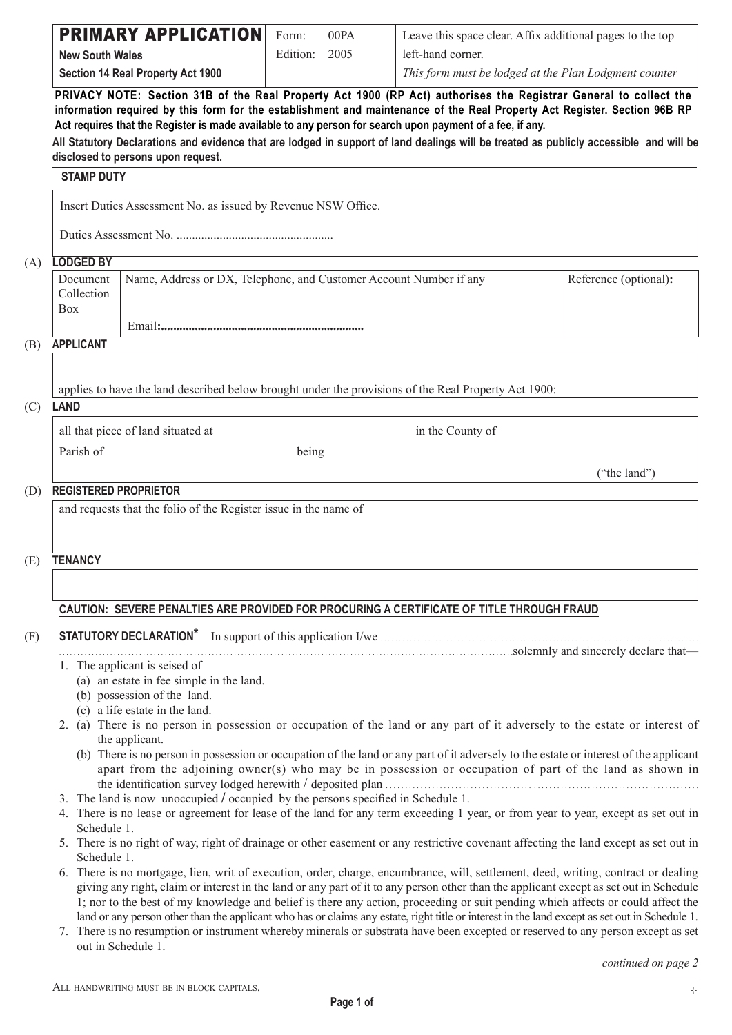|                                      | <b>PRIMARY APPLICATION</b>                                                       | Form:    | 00PA | Leave this space clear. Affix additional pages to the top                                                                                                                                                                                                                                                                                                                                                                                                                                                                                                                                                                                                                                             |                       |
|--------------------------------------|----------------------------------------------------------------------------------|----------|------|-------------------------------------------------------------------------------------------------------------------------------------------------------------------------------------------------------------------------------------------------------------------------------------------------------------------------------------------------------------------------------------------------------------------------------------------------------------------------------------------------------------------------------------------------------------------------------------------------------------------------------------------------------------------------------------------------------|-----------------------|
| <b>New South Wales</b>               |                                                                                  | Edition: | 2005 | left-hand corner.                                                                                                                                                                                                                                                                                                                                                                                                                                                                                                                                                                                                                                                                                     |                       |
|                                      | <b>Section 14 Real Property Act 1900</b>                                         |          |      | This form must be lodged at the Plan Lodgment counter                                                                                                                                                                                                                                                                                                                                                                                                                                                                                                                                                                                                                                                 |                       |
|                                      |                                                                                  |          |      | PRIVACY NOTE: Section 31B of the Real Property Act 1900 (RP Act) authorises the Registrar General to collect the<br>information required by this form for the establishment and maintenance of the Real Property Act Register. Section 96B RP<br>Act requires that the Register is made available to any person for search upon payment of a fee, if any.<br>All Statutory Declarations and evidence that are lodged in support of land dealings will be treated as publicly accessible and will be                                                                                                                                                                                                   |                       |
| <b>STAMP DUTY</b>                    | disclosed to persons upon request.                                               |          |      |                                                                                                                                                                                                                                                                                                                                                                                                                                                                                                                                                                                                                                                                                                       |                       |
|                                      |                                                                                  |          |      |                                                                                                                                                                                                                                                                                                                                                                                                                                                                                                                                                                                                                                                                                                       |                       |
|                                      | Insert Duties Assessment No. as issued by Revenue NSW Office.                    |          |      |                                                                                                                                                                                                                                                                                                                                                                                                                                                                                                                                                                                                                                                                                                       |                       |
|                                      |                                                                                  |          |      |                                                                                                                                                                                                                                                                                                                                                                                                                                                                                                                                                                                                                                                                                                       |                       |
| <b>LODGED BY</b>                     |                                                                                  |          |      |                                                                                                                                                                                                                                                                                                                                                                                                                                                                                                                                                                                                                                                                                                       |                       |
| Document<br>Collection<br><b>Box</b> | Name, Address or DX, Telephone, and Customer Account Number if any               |          |      |                                                                                                                                                                                                                                                                                                                                                                                                                                                                                                                                                                                                                                                                                                       | Reference (optional): |
|                                      |                                                                                  |          |      |                                                                                                                                                                                                                                                                                                                                                                                                                                                                                                                                                                                                                                                                                                       |                       |
| <b>APPLICANT</b>                     |                                                                                  |          |      |                                                                                                                                                                                                                                                                                                                                                                                                                                                                                                                                                                                                                                                                                                       |                       |
| <b>LAND</b>                          |                                                                                  |          |      | applies to have the land described below brought under the provisions of the Real Property Act 1900:                                                                                                                                                                                                                                                                                                                                                                                                                                                                                                                                                                                                  |                       |
|                                      | all that piece of land situated at                                               |          |      | in the County of                                                                                                                                                                                                                                                                                                                                                                                                                                                                                                                                                                                                                                                                                      |                       |
| Parish of                            |                                                                                  | being    |      |                                                                                                                                                                                                                                                                                                                                                                                                                                                                                                                                                                                                                                                                                                       |                       |
|                                      |                                                                                  |          |      |                                                                                                                                                                                                                                                                                                                                                                                                                                                                                                                                                                                                                                                                                                       | ("the land")          |
| <b>TENANCY</b>                       |                                                                                  |          |      |                                                                                                                                                                                                                                                                                                                                                                                                                                                                                                                                                                                                                                                                                                       |                       |
|                                      |                                                                                  |          |      |                                                                                                                                                                                                                                                                                                                                                                                                                                                                                                                                                                                                                                                                                                       |                       |
|                                      |                                                                                  |          |      | CAUTION: SEVERE PENALTIES ARE PROVIDED FOR PROCURING A CERTIFICATE OF TITLE THROUGH FRAUD                                                                                                                                                                                                                                                                                                                                                                                                                                                                                                                                                                                                             |                       |
|                                      | <b>STATUTORY DECLARATION*</b>                                                    |          |      |                                                                                                                                                                                                                                                                                                                                                                                                                                                                                                                                                                                                                                                                                                       |                       |
|                                      | 1. The applicant is seised of                                                    |          |      |                                                                                                                                                                                                                                                                                                                                                                                                                                                                                                                                                                                                                                                                                                       |                       |
|                                      | (a) an estate in fee simple in the land.                                         |          |      |                                                                                                                                                                                                                                                                                                                                                                                                                                                                                                                                                                                                                                                                                                       |                       |
|                                      | (b) possession of the land.<br>(c) a life estate in the land.                    |          |      |                                                                                                                                                                                                                                                                                                                                                                                                                                                                                                                                                                                                                                                                                                       |                       |
|                                      | the applicant.                                                                   |          |      | 2. (a) There is no person in possession or occupation of the land or any part of it adversely to the estate or interest of                                                                                                                                                                                                                                                                                                                                                                                                                                                                                                                                                                            |                       |
|                                      |                                                                                  |          |      | (b) There is no person in possession or occupation of the land or any part of it adversely to the estate or interest of the applicant<br>apart from the adjoining owner(s) who may be in possession or occupation of part of the land as shown in                                                                                                                                                                                                                                                                                                                                                                                                                                                     |                       |
|                                      | 3. The land is now unoccupied / occupied by the persons specified in Schedule 1. |          |      |                                                                                                                                                                                                                                                                                                                                                                                                                                                                                                                                                                                                                                                                                                       |                       |
| Schedule 1.                          |                                                                                  |          |      | 4. There is no lease or agreement for lease of the land for any term exceeding 1 year, or from year to year, except as set out in                                                                                                                                                                                                                                                                                                                                                                                                                                                                                                                                                                     |                       |
| Schedule 1.                          |                                                                                  |          |      | 5. There is no right of way, right of drainage or other easement or any restrictive covenant affecting the land except as set out in                                                                                                                                                                                                                                                                                                                                                                                                                                                                                                                                                                  |                       |
|                                      |                                                                                  |          |      | 6. There is no mortgage, lien, writ of execution, order, charge, encumbrance, will, settlement, deed, writing, contract or dealing<br>giving any right, claim or interest in the land or any part of it to any person other than the applicant except as set out in Schedule<br>1; nor to the best of my knowledge and belief is there any action, proceeding or suit pending which affects or could affect the<br>land or any person other than the applicant who has or claims any estate, right title or interest in the land except as set out in Schedule 1.<br>7. There is no resumption or instrument whereby minerals or substrata have been excepted or reserved to any person except as set |                       |
|                                      | out in Schedule 1.                                                               |          |      |                                                                                                                                                                                                                                                                                                                                                                                                                                                                                                                                                                                                                                                                                                       | continued on page 2   |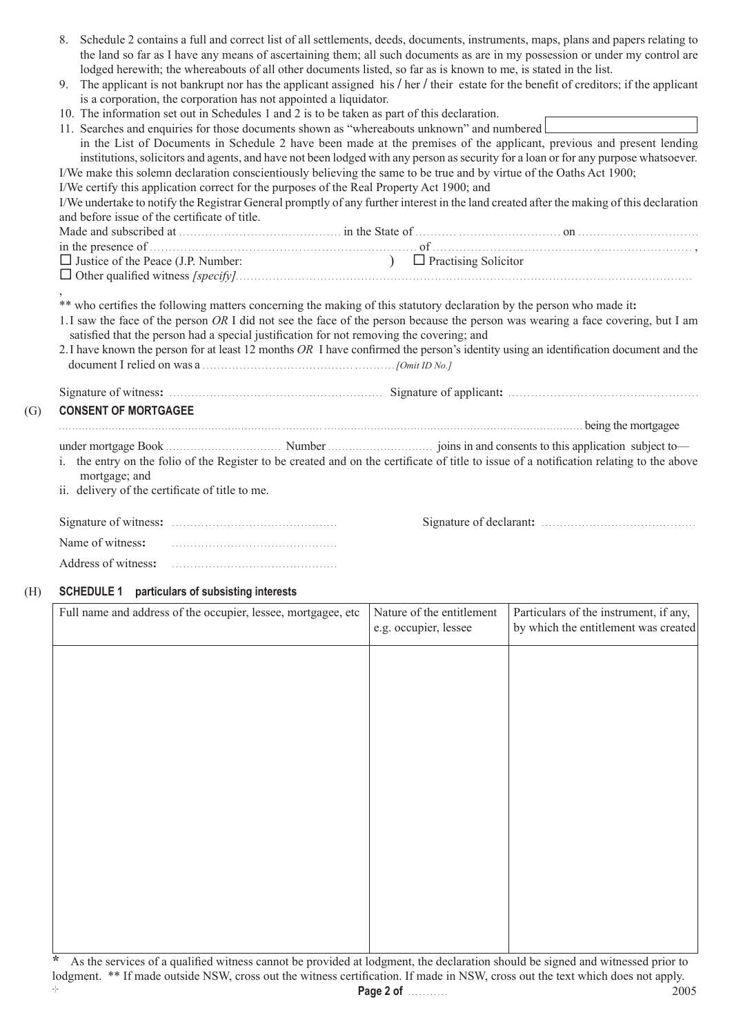|                                                                                                                                                                                                              |                                                                                                                                                                                                                                                           | 8. Schedule 2 contains a full and correct list of all settlements, deeds, documents, instruments, maps, plans and papers relating to | the land so far as I have any means of ascertaining them; all such documents as are in my possession or under my control are |  |  |
|--------------------------------------------------------------------------------------------------------------------------------------------------------------------------------------------------------------|-----------------------------------------------------------------------------------------------------------------------------------------------------------------------------------------------------------------------------------------------------------|--------------------------------------------------------------------------------------------------------------------------------------|------------------------------------------------------------------------------------------------------------------------------|--|--|
|                                                                                                                                                                                                              | lodged herewith; the whereabouts of all other documents listed, so far as is known to me, is stated in the list.                                                                                                                                          |                                                                                                                                      |                                                                                                                              |  |  |
| 9. The applicant is not bankrupt nor has the applicant assigned his / her / their estate for the benefit of creditors; if the applicant<br>is a corporation, the corporation has not appointed a liquidator. |                                                                                                                                                                                                                                                           |                                                                                                                                      |                                                                                                                              |  |  |
|                                                                                                                                                                                                              | 10. The information set out in Schedules 1 and 2 is to be taken as part of this declaration.                                                                                                                                                              |                                                                                                                                      |                                                                                                                              |  |  |
|                                                                                                                                                                                                              | 11. Searches and enquiries for those documents shown as "whereabouts unknown" and numbered                                                                                                                                                                |                                                                                                                                      |                                                                                                                              |  |  |
|                                                                                                                                                                                                              | in the List of Documents in Schedule 2 have been made at the premises of the applicant, previous and present lending                                                                                                                                      |                                                                                                                                      |                                                                                                                              |  |  |
|                                                                                                                                                                                                              | institutions, solicitors and agents, and have not been lodged with any person as security for a loan or for any purpose whatsoever.                                                                                                                       |                                                                                                                                      |                                                                                                                              |  |  |
|                                                                                                                                                                                                              | I/We make this solemn declaration conscientiously believing the same to be true and by virtue of the Oaths Act 1900;                                                                                                                                      |                                                                                                                                      |                                                                                                                              |  |  |
|                                                                                                                                                                                                              | I/We certify this application correct for the purposes of the Real Property Act 1900; and                                                                                                                                                                 |                                                                                                                                      |                                                                                                                              |  |  |
|                                                                                                                                                                                                              | I/We undertake to notify the Registrar General promptly of any further interest in the land created after the making of this declaration                                                                                                                  |                                                                                                                                      |                                                                                                                              |  |  |
| and before issue of the certificate of title.                                                                                                                                                                |                                                                                                                                                                                                                                                           |                                                                                                                                      |                                                                                                                              |  |  |
|                                                                                                                                                                                                              |                                                                                                                                                                                                                                                           |                                                                                                                                      |                                                                                                                              |  |  |
|                                                                                                                                                                                                              |                                                                                                                                                                                                                                                           |                                                                                                                                      |                                                                                                                              |  |  |
| $\Box$ Justice of the Peace (J.P. Number:                                                                                                                                                                    |                                                                                                                                                                                                                                                           | $\Box$ Practising Solicitor                                                                                                          |                                                                                                                              |  |  |
|                                                                                                                                                                                                              |                                                                                                                                                                                                                                                           |                                                                                                                                      |                                                                                                                              |  |  |
|                                                                                                                                                                                                              | ** who certifies the following matters concerning the making of this statutory declaration by the person who made it:<br>1. I saw the face of the person OR I did not see the face of the person because the person was wearing a face covering, but I am |                                                                                                                                      |                                                                                                                              |  |  |
|                                                                                                                                                                                                              | satisfied that the person had a special justification for not removing the covering; and<br>2. I have known the person for at least 12 months $OR$ I have confirmed the person's identity using an identification document and the                        |                                                                                                                                      |                                                                                                                              |  |  |
|                                                                                                                                                                                                              |                                                                                                                                                                                                                                                           |                                                                                                                                      |                                                                                                                              |  |  |
|                                                                                                                                                                                                              |                                                                                                                                                                                                                                                           |                                                                                                                                      |                                                                                                                              |  |  |
| <b>CONSENT OF MORTGAGEE</b>                                                                                                                                                                                  | being the mortgagee                                                                                                                                                                                                                                       |                                                                                                                                      |                                                                                                                              |  |  |
|                                                                                                                                                                                                              |                                                                                                                                                                                                                                                           |                                                                                                                                      |                                                                                                                              |  |  |
|                                                                                                                                                                                                              | i. the entry on the folio of the Register to be created and on the certificate of title to issue of a notification relating to the above                                                                                                                  |                                                                                                                                      |                                                                                                                              |  |  |
| mortgage; and<br>ii. delivery of the certificate of title to me.                                                                                                                                             |                                                                                                                                                                                                                                                           |                                                                                                                                      |                                                                                                                              |  |  |
|                                                                                                                                                                                                              |                                                                                                                                                                                                                                                           |                                                                                                                                      |                                                                                                                              |  |  |
|                                                                                                                                                                                                              |                                                                                                                                                                                                                                                           |                                                                                                                                      |                                                                                                                              |  |  |
| Name of witness:<br>Address of witness:                                                                                                                                                                      |                                                                                                                                                                                                                                                           |                                                                                                                                      |                                                                                                                              |  |  |

## (H) **SCHEDULE 1 particulars of subsisting interests**

| Full name and address of the occupier, lessee, mortgagee, etc | Nature of the entitlement<br>e.g. occupier, lessee | Particulars of the instrument, if any,<br>by which the entitlement was created |
|---------------------------------------------------------------|----------------------------------------------------|--------------------------------------------------------------------------------|
|                                                               |                                                    |                                                                                |
|                                                               |                                                    |                                                                                |
|                                                               |                                                    |                                                                                |
|                                                               |                                                    |                                                                                |
|                                                               |                                                    |                                                                                |
|                                                               |                                                    |                                                                                |
|                                                               |                                                    |                                                                                |
|                                                               |                                                    |                                                                                |
|                                                               |                                                    |                                                                                |

**\*** As the services of a qualified witness cannot be provided at lodgment, the declaration should be signed and witnessed prior to lodgment. \*\* If made outside NSW, cross out the witness certification. If made in NSW, cross out the text which does not apply. **Page 2 of** . . . . . . . . . . . 2005 -¦-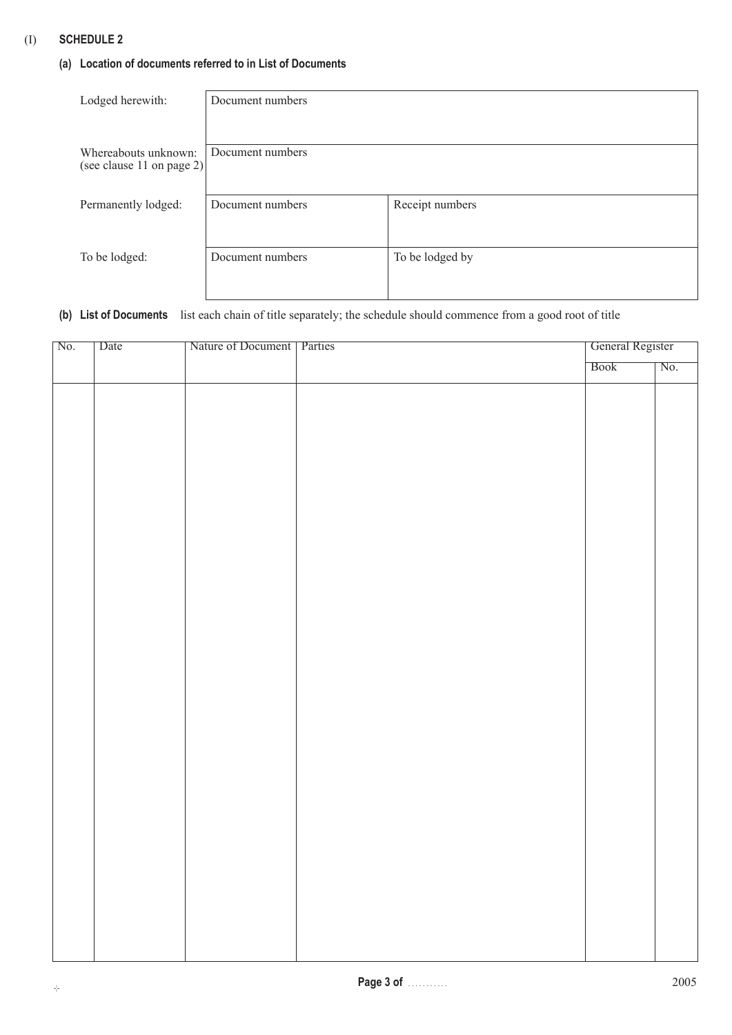## (I) **SCHEDULE 2**

## **(a) Location of documents referred to in List of Documents**

| Lodged herewith:          | Document numbers |                 |
|---------------------------|------------------|-----------------|
|                           |                  |                 |
|                           |                  |                 |
|                           |                  |                 |
| Whereabouts unknown:      | Document numbers |                 |
| (see clause 11 on page 2) |                  |                 |
|                           |                  |                 |
| Permanently lodged:       | Document numbers | Receipt numbers |
|                           |                  |                 |
|                           |                  |                 |
|                           |                  |                 |
| To be lodged:             | Document numbers | To be lodged by |
|                           |                  |                 |
|                           |                  |                 |

## **(b) List of Documents** list each chain of title separately; the schedule should commence from a good root of title

| No. | Date | Nature of Document   Parties | General Register |     |
|-----|------|------------------------------|------------------|-----|
|     |      |                              | Book             | No. |
|     |      |                              |                  |     |
|     |      |                              |                  |     |
|     |      |                              |                  |     |
|     |      |                              |                  |     |
|     |      |                              |                  |     |
|     |      |                              |                  |     |
|     |      |                              |                  |     |
|     |      |                              |                  |     |
|     |      |                              |                  |     |
|     |      |                              |                  |     |
|     |      |                              |                  |     |
|     |      |                              |                  |     |
|     |      |                              |                  |     |
|     |      |                              |                  |     |
|     |      |                              |                  |     |
|     |      |                              |                  |     |
|     |      |                              |                  |     |
|     |      |                              |                  |     |
|     |      |                              |                  |     |
|     |      |                              |                  |     |
|     |      |                              |                  |     |
|     |      |                              |                  |     |
|     |      |                              |                  |     |
|     |      |                              |                  |     |
|     |      |                              |                  |     |
|     |      |                              |                  |     |
|     |      |                              |                  |     |
|     |      |                              |                  |     |
|     |      |                              |                  |     |